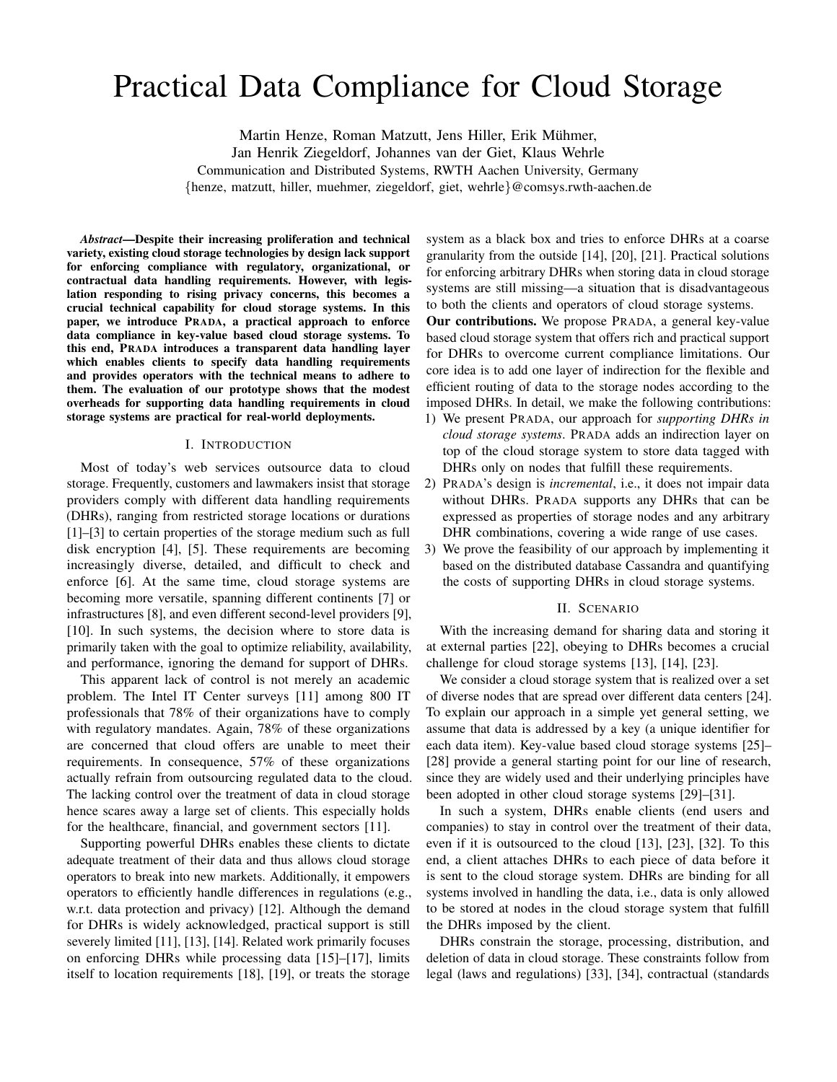# Practical Data Compliance for Cloud Storage

Martin Henze, Roman Matzutt, Jens Hiller, Erik Muhmer, ¨ Jan Henrik Ziegeldorf, Johannes van der Giet, Klaus Wehrle Communication and Distributed Systems, RWTH Aachen University, Germany {henze, matzutt, hiller, muehmer, ziegeldorf, giet, wehrle}@comsys.rwth-aachen.de

*Abstract*—Despite their increasing proliferation and technical variety, existing cloud storage technologies by design lack support for enforcing compliance with regulatory, organizational, or contractual data handling requirements. However, with legislation responding to rising privacy concerns, this becomes a crucial technical capability for cloud storage systems. In this paper, we introduce PRADA, a practical approach to enforce data compliance in key-value based cloud storage systems. To this end, PRADA introduces a transparent data handling layer which enables clients to specify data handling requirements and provides operators with the technical means to adhere to them. The evaluation of our prototype shows that the modest overheads for supporting data handling requirements in cloud storage systems are practical for real-world deployments.

# I. INTRODUCTION

Most of today's web services outsource data to cloud storage. Frequently, customers and lawmakers insist that storage providers comply with different data handling requirements (DHRs), ranging from restricted storage locations or durations [1]–[3] to certain properties of the storage medium such as full disk encryption [4], [5]. These requirements are becoming increasingly diverse, detailed, and difficult to check and enforce [6]. At the same time, cloud storage systems are becoming more versatile, spanning different continents [7] or infrastructures [8], and even different second-level providers [9], [10]. In such systems, the decision where to store data is primarily taken with the goal to optimize reliability, availability, and performance, ignoring the demand for support of DHRs.

This apparent lack of control is not merely an academic problem. The Intel IT Center surveys [11] among 800 IT professionals that 78% of their organizations have to comply with regulatory mandates. Again, 78% of these organizations are concerned that cloud offers are unable to meet their requirements. In consequence, 57% of these organizations actually refrain from outsourcing regulated data to the cloud. The lacking control over the treatment of data in cloud storage hence scares away a large set of clients. This especially holds for the healthcare, financial, and government sectors [11].

Supporting powerful DHRs enables these clients to dictate adequate treatment of their data and thus allows cloud storage operators to break into new markets. Additionally, it empowers operators to efficiently handle differences in regulations (e.g., w.r.t. data protection and privacy) [12]. Although the demand for DHRs is widely acknowledged, practical support is still severely limited [11], [13], [14]. Related work primarily focuses on enforcing DHRs while processing data [15]–[17], limits itself to location requirements [18], [19], or treats the storage

system as a black box and tries to enforce DHRs at a coarse granularity from the outside [14], [20], [21]. Practical solutions for enforcing arbitrary DHRs when storing data in cloud storage systems are still missing—a situation that is disadvantageous to both the clients and operators of cloud storage systems.

Our contributions. We propose PRADA, a general key-value based cloud storage system that offers rich and practical support for DHRs to overcome current compliance limitations. Our core idea is to add one layer of indirection for the flexible and efficient routing of data to the storage nodes according to the imposed DHRs. In detail, we make the following contributions:

- 1) We present PRADA, our approach for *supporting DHRs in cloud storage systems*. PRADA adds an indirection layer on top of the cloud storage system to store data tagged with DHRs only on nodes that fulfill these requirements.
- 2) PRADA's design is *incremental*, i.e., it does not impair data without DHRs. PRADA supports any DHRs that can be expressed as properties of storage nodes and any arbitrary DHR combinations, covering a wide range of use cases.
- 3) We prove the feasibility of our approach by implementing it based on the distributed database Cassandra and quantifying the costs of supporting DHRs in cloud storage systems.

#### II. SCENARIO

With the increasing demand for sharing data and storing it at external parties [22], obeying to DHRs becomes a crucial challenge for cloud storage systems [13], [14], [23].

We consider a cloud storage system that is realized over a set of diverse nodes that are spread over different data centers [24]. To explain our approach in a simple yet general setting, we assume that data is addressed by a key (a unique identifier for each data item). Key-value based cloud storage systems [25]– [28] provide a general starting point for our line of research, since they are widely used and their underlying principles have been adopted in other cloud storage systems [29]–[31].

In such a system, DHRs enable clients (end users and companies) to stay in control over the treatment of their data, even if it is outsourced to the cloud [13], [23], [32]. To this end, a client attaches DHRs to each piece of data before it is sent to the cloud storage system. DHRs are binding for all systems involved in handling the data, i.e., data is only allowed to be stored at nodes in the cloud storage system that fulfill the DHRs imposed by the client.

DHRs constrain the storage, processing, distribution, and deletion of data in cloud storage. These constraints follow from legal (laws and regulations) [33], [34], contractual (standards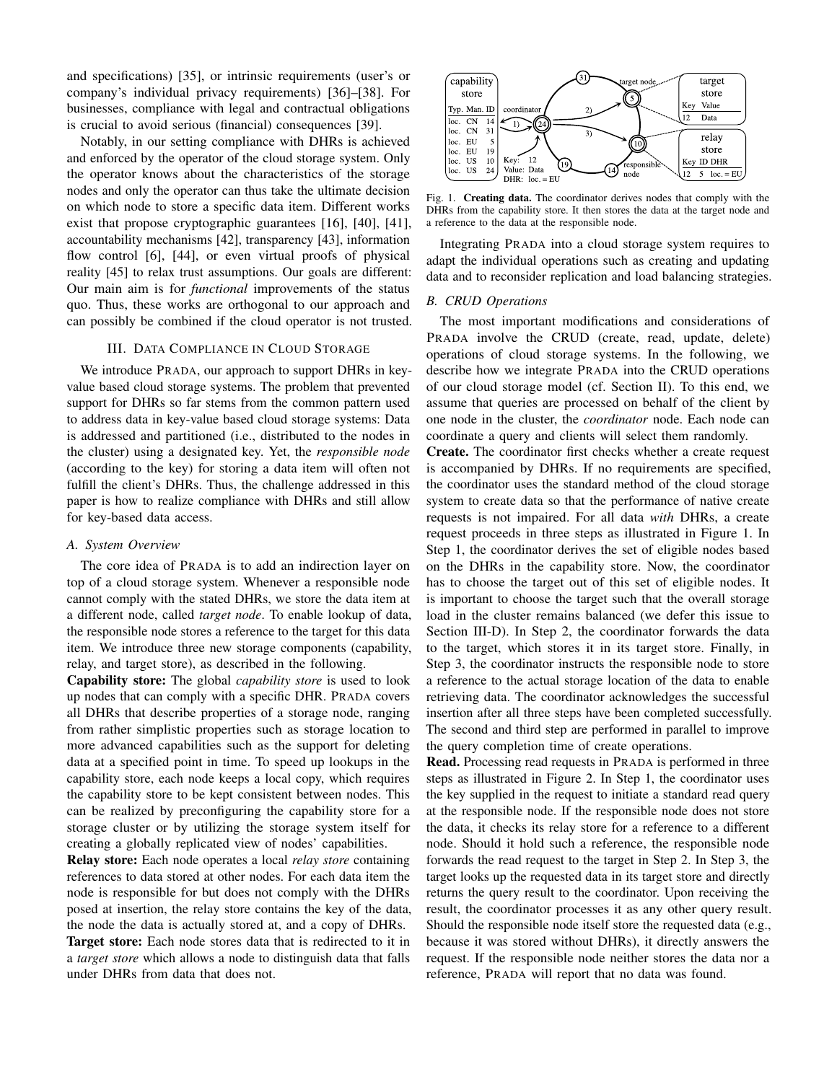and specifications) [35], or intrinsic requirements (user's or company's individual privacy requirements) [36]–[38]. For businesses, compliance with legal and contractual obligations is crucial to avoid serious (financial) consequences [39].

Notably, in our setting compliance with DHRs is achieved and enforced by the operator of the cloud storage system. Only the operator knows about the characteristics of the storage nodes and only the operator can thus take the ultimate decision on which node to store a specific data item. Different works exist that propose cryptographic guarantees [16], [40], [41], accountability mechanisms [42], transparency [43], information flow control [6], [44], or even virtual proofs of physical reality [45] to relax trust assumptions. Our goals are different: Our main aim is for *functional* improvements of the status quo. Thus, these works are orthogonal to our approach and can possibly be combined if the cloud operator is not trusted.

#### III. DATA COMPLIANCE IN CLOUD STORAGE

We introduce PRADA, our approach to support DHRs in keyvalue based cloud storage systems. The problem that prevented support for DHRs so far stems from the common pattern used to address data in key-value based cloud storage systems: Data is addressed and partitioned (i.e., distributed to the nodes in the cluster) using a designated key. Yet, the *responsible node* (according to the key) for storing a data item will often not fulfill the client's DHRs. Thus, the challenge addressed in this paper is how to realize compliance with DHRs and still allow for key-based data access.

#### *A. System Overview*

The core idea of PRADA is to add an indirection layer on top of a cloud storage system. Whenever a responsible node cannot comply with the stated DHRs, we store the data item at a different node, called *target node*. To enable lookup of data, the responsible node stores a reference to the target for this data item. We introduce three new storage components (capability, relay, and target store), as described in the following.

Capability store: The global *capability store* is used to look up nodes that can comply with a specific DHR. PRADA covers all DHRs that describe properties of a storage node, ranging from rather simplistic properties such as storage location to more advanced capabilities such as the support for deleting data at a specified point in time. To speed up lookups in the capability store, each node keeps a local copy, which requires the capability store to be kept consistent between nodes. This can be realized by preconfiguring the capability store for a storage cluster or by utilizing the storage system itself for creating a globally replicated view of nodes' capabilities.

Relay store: Each node operates a local *relay store* containing references to data stored at other nodes. For each data item the node is responsible for but does not comply with the DHRs posed at insertion, the relay store contains the key of the data, the node the data is actually stored at, and a copy of DHRs. Target store: Each node stores data that is redirected to it in a *target store* which allows a node to distinguish data that falls under DHRs from data that does not.



Fig. 1. Creating data. The coordinator derives nodes that comply with the DHRs from the capability store. It then stores the data at the target node and a reference to the data at the responsible node.

Integrating PRADA into a cloud storage system requires to adapt the individual operations such as creating and updating data and to reconsider replication and load balancing strategies.

## *B. CRUD Operations*

The most important modifications and considerations of PRADA involve the CRUD (create, read, update, delete) operations of cloud storage systems. In the following, we describe how we integrate PRADA into the CRUD operations of our cloud storage model (cf. Section II). To this end, we assume that queries are processed on behalf of the client by one node in the cluster, the *coordinator* node. Each node can coordinate a query and clients will select them randomly.

Create. The coordinator first checks whether a create request is accompanied by DHRs. If no requirements are specified, the coordinator uses the standard method of the cloud storage system to create data so that the performance of native create requests is not impaired. For all data *with* DHRs, a create request proceeds in three steps as illustrated in Figure 1. In Step 1, the coordinator derives the set of eligible nodes based on the DHRs in the capability store. Now, the coordinator has to choose the target out of this set of eligible nodes. It is important to choose the target such that the overall storage load in the cluster remains balanced (we defer this issue to Section III-D). In Step 2, the coordinator forwards the data to the target, which stores it in its target store. Finally, in Step 3, the coordinator instructs the responsible node to store a reference to the actual storage location of the data to enable retrieving data. The coordinator acknowledges the successful insertion after all three steps have been completed successfully. The second and third step are performed in parallel to improve the query completion time of create operations.

Read. Processing read requests in PRADA is performed in three steps as illustrated in Figure 2. In Step 1, the coordinator uses the key supplied in the request to initiate a standard read query at the responsible node. If the responsible node does not store the data, it checks its relay store for a reference to a different node. Should it hold such a reference, the responsible node forwards the read request to the target in Step 2. In Step 3, the target looks up the requested data in its target store and directly returns the query result to the coordinator. Upon receiving the result, the coordinator processes it as any other query result. Should the responsible node itself store the requested data (e.g., because it was stored without DHRs), it directly answers the request. If the responsible node neither stores the data nor a reference, PRADA will report that no data was found.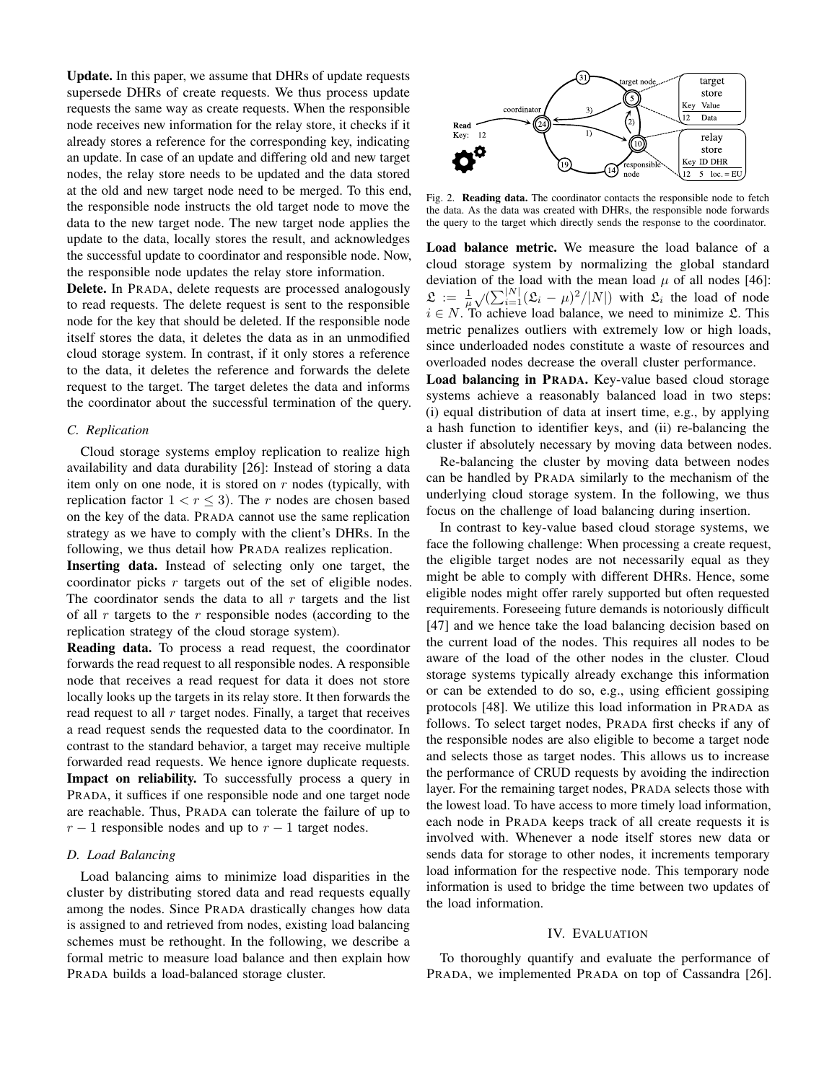Update. In this paper, we assume that DHRs of update requests supersede DHRs of create requests. We thus process update requests the same way as create requests. When the responsible node receives new information for the relay store, it checks if it already stores a reference for the corresponding key, indicating an update. In case of an update and differing old and new target nodes, the relay store needs to be updated and the data stored at the old and new target node need to be merged. To this end, the responsible node instructs the old target node to move the data to the new target node. The new target node applies the update to the data, locally stores the result, and acknowledges the successful update to coordinator and responsible node. Now, the responsible node updates the relay store information.

Delete. In PRADA, delete requests are processed analogously to read requests. The delete request is sent to the responsible node for the key that should be deleted. If the responsible node itself stores the data, it deletes the data as in an unmodified cloud storage system. In contrast, if it only stores a reference to the data, it deletes the reference and forwards the delete request to the target. The target deletes the data and informs the coordinator about the successful termination of the query.

## *C. Replication*

Cloud storage systems employ replication to realize high availability and data durability [26]: Instead of storing a data item only on one node, it is stored on  $r$  nodes (typically, with replication factor  $1 < r < 3$ ). The r nodes are chosen based on the key of the data. PRADA cannot use the same replication strategy as we have to comply with the client's DHRs. In the following, we thus detail how PRADA realizes replication.

Inserting data. Instead of selecting only one target, the coordinator picks r targets out of the set of eligible nodes. The coordinator sends the data to all  $r$  targets and the list of all  $r$  targets to the  $r$  responsible nodes (according to the replication strategy of the cloud storage system).

Reading data. To process a read request, the coordinator forwards the read request to all responsible nodes. A responsible node that receives a read request for data it does not store locally looks up the targets in its relay store. It then forwards the read request to all  $r$  target nodes. Finally, a target that receives a read request sends the requested data to the coordinator. In contrast to the standard behavior, a target may receive multiple forwarded read requests. We hence ignore duplicate requests. Impact on reliability. To successfully process a query in PRADA, it suffices if one responsible node and one target node are reachable. Thus, PRADA can tolerate the failure of up to  $r - 1$  responsible nodes and up to  $r - 1$  target nodes.

## *D. Load Balancing*

Load balancing aims to minimize load disparities in the cluster by distributing stored data and read requests equally among the nodes. Since PRADA drastically changes how data is assigned to and retrieved from nodes, existing load balancing schemes must be rethought. In the following, we describe a formal metric to measure load balance and then explain how PRADA builds a load-balanced storage cluster.



Fig. 2. Reading data. The coordinator contacts the responsible node to fetch the data. As the data was created with DHRs, the responsible node forwards the query to the target which directly sends the response to the coordinator.

Load balance metric. We measure the load balance of a cloud storage system by normalizing the global standard deviation of the load with the mean load  $\mu$  of all nodes [46]:  $\mathfrak{L} := \frac{1}{\mu} \sqrt{(\sum_{i=1}^{|N|} (\mathfrak{L}_i - \mu)^2/|N|)}$  with  $\mathfrak{L}_i$  the load of node  $i \in N$ . To achieve load balance, we need to minimize  $\mathfrak{L}$ . This metric penalizes outliers with extremely low or high loads, since underloaded nodes constitute a waste of resources and overloaded nodes decrease the overall cluster performance.

Load balancing in PRADA. Key-value based cloud storage systems achieve a reasonably balanced load in two steps: (i) equal distribution of data at insert time, e.g., by applying a hash function to identifier keys, and (ii) re-balancing the cluster if absolutely necessary by moving data between nodes.

Re-balancing the cluster by moving data between nodes can be handled by PRADA similarly to the mechanism of the underlying cloud storage system. In the following, we thus focus on the challenge of load balancing during insertion.

In contrast to key-value based cloud storage systems, we face the following challenge: When processing a create request, the eligible target nodes are not necessarily equal as they might be able to comply with different DHRs. Hence, some eligible nodes might offer rarely supported but often requested requirements. Foreseeing future demands is notoriously difficult [47] and we hence take the load balancing decision based on the current load of the nodes. This requires all nodes to be aware of the load of the other nodes in the cluster. Cloud storage systems typically already exchange this information or can be extended to do so, e.g., using efficient gossiping protocols [48]. We utilize this load information in PRADA as follows. To select target nodes, PRADA first checks if any of the responsible nodes are also eligible to become a target node and selects those as target nodes. This allows us to increase the performance of CRUD requests by avoiding the indirection layer. For the remaining target nodes, PRADA selects those with the lowest load. To have access to more timely load information, each node in PRADA keeps track of all create requests it is involved with. Whenever a node itself stores new data or sends data for storage to other nodes, it increments temporary load information for the respective node. This temporary node information is used to bridge the time between two updates of the load information.

## IV. EVALUATION

To thoroughly quantify and evaluate the performance of PRADA, we implemented PRADA on top of Cassandra [26].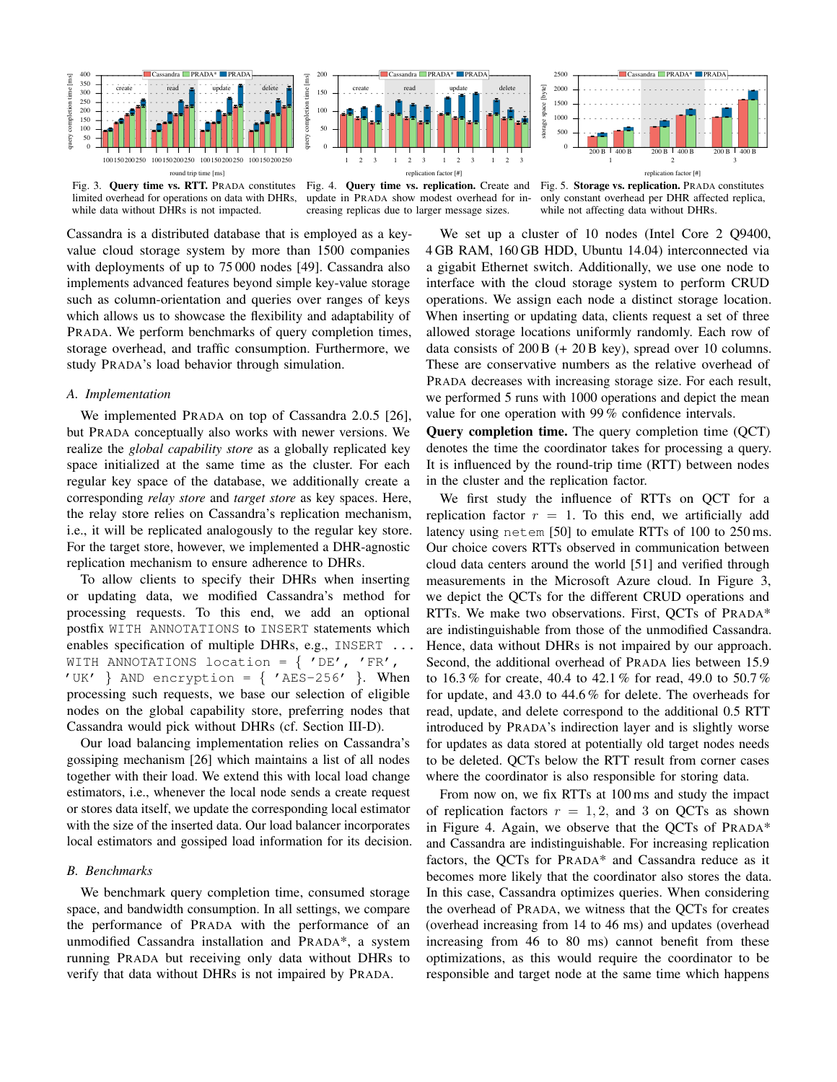

Fig. 3. Query time vs. RTT. PRADA constitutes limited overhead for operations on data with DHRs, while data without DHRs is not impacted.

Fig. 4. Query time vs. replication. Create and update in PRADA show modest overhead for increasing replicas due to larger message sizes.

Fig. 5. Storage vs. replication. PRADA constitutes only constant overhead per DHR affected replica, while not affecting data without DHRs.

Cassandra is a distributed database that is employed as a keyvalue cloud storage system by more than 1500 companies with deployments of up to 75 000 nodes [49]. Cassandra also implements advanced features beyond simple key-value storage such as column-orientation and queries over ranges of keys which allows us to showcase the flexibility and adaptability of PRADA. We perform benchmarks of query completion times, storage overhead, and traffic consumption. Furthermore, we study PRADA's load behavior through simulation.

#### *A. Implementation*

We implemented PRADA on top of Cassandra 2.0.5 [26], but PRADA conceptually also works with newer versions. We realize the *global capability store* as a globally replicated key space initialized at the same time as the cluster. For each regular key space of the database, we additionally create a corresponding *relay store* and *target store* as key spaces. Here, the relay store relies on Cassandra's replication mechanism, i.e., it will be replicated analogously to the regular key store. For the target store, however, we implemented a DHR-agnostic replication mechanism to ensure adherence to DHRs.

To allow clients to specify their DHRs when inserting or updating data, we modified Cassandra's method for processing requests. To this end, we add an optional postfix WITH ANNOTATIONS to INSERT statements which enables specification of multiple DHRs, e.g., INSERT ... WITH ANNOTATIONS location =  $\{$  'DE', 'FR', 'UK' } AND encryption =  $\{$  'AES-256' }. When processing such requests, we base our selection of eligible nodes on the global capability store, preferring nodes that Cassandra would pick without DHRs (cf. Section III-D).

Our load balancing implementation relies on Cassandra's gossiping mechanism [26] which maintains a list of all nodes together with their load. We extend this with local load change estimators, i.e., whenever the local node sends a create request or stores data itself, we update the corresponding local estimator with the size of the inserted data. Our load balancer incorporates local estimators and gossiped load information for its decision.

## *B. Benchmarks*

We benchmark query completion time, consumed storage space, and bandwidth consumption. In all settings, we compare the performance of PRADA with the performance of an unmodified Cassandra installation and PRADA\*, a system running PRADA but receiving only data without DHRs to verify that data without DHRs is not impaired by PRADA.

We set up a cluster of 10 nodes (Intel Core 2 Q9400, 4 GB RAM, 160 GB HDD, Ubuntu 14.04) interconnected via a gigabit Ethernet switch. Additionally, we use one node to interface with the cloud storage system to perform CRUD operations. We assign each node a distinct storage location. When inserting or updating data, clients request a set of three allowed storage locations uniformly randomly. Each row of data consists of  $200 B (+ 20 B \text{ key})$ , spread over 10 columns. These are conservative numbers as the relative overhead of PRADA decreases with increasing storage size. For each result, we performed 5 runs with 1000 operations and depict the mean value for one operation with 99 % confidence intervals.

Query completion time. The query completion time (QCT) denotes the time the coordinator takes for processing a query. It is influenced by the round-trip time (RTT) between nodes in the cluster and the replication factor.

We first study the influence of RTTs on QCT for a replication factor  $r = 1$ . To this end, we artificially add latency using netem [50] to emulate RTTs of 100 to 250 ms. Our choice covers RTTs observed in communication between cloud data centers around the world [51] and verified through measurements in the Microsoft Azure cloud. In Figure 3, we depict the QCTs for the different CRUD operations and RTTs. We make two observations. First, QCTs of PRADA\* are indistinguishable from those of the unmodified Cassandra. Hence, data without DHRs is not impaired by our approach. Second, the additional overhead of PRADA lies between 15.9 to 16.3 % for create, 40.4 to 42.1 % for read, 49.0 to 50.7 % for update, and 43.0 to 44.6 % for delete. The overheads for read, update, and delete correspond to the additional 0.5 RTT introduced by PRADA's indirection layer and is slightly worse for updates as data stored at potentially old target nodes needs to be deleted. QCTs below the RTT result from corner cases where the coordinator is also responsible for storing data.

From now on, we fix RTTs at 100 ms and study the impact of replication factors  $r = 1, 2$ , and 3 on QCTs as shown in Figure 4. Again, we observe that the QCTs of PRADA\* and Cassandra are indistinguishable. For increasing replication factors, the QCTs for PRADA\* and Cassandra reduce as it becomes more likely that the coordinator also stores the data. In this case, Cassandra optimizes queries. When considering the overhead of PRADA, we witness that the QCTs for creates (overhead increasing from 14 to 46 ms) and updates (overhead increasing from 46 to 80 ms) cannot benefit from these optimizations, as this would require the coordinator to be responsible and target node at the same time which happens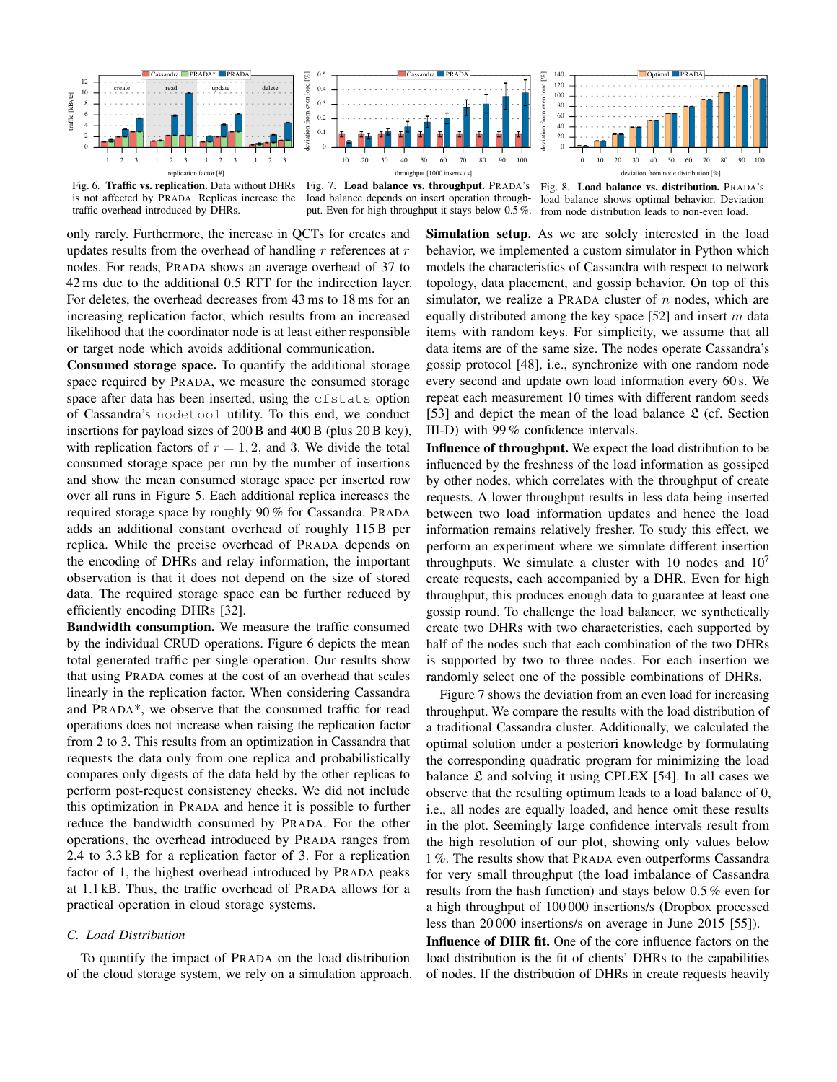

0 10 20 30 40 50 60 70 80 90 100 deviation from node distribution [%]

Optimal PRADA

Fig. 6. Traffic vs. replication. Data without DHRs is not affected by PRADA. Replicas increase the traffic overhead introduced by DHRs.

Fig. 7. Load balance vs. throughput. PRADA's load balance depends on insert operation throughput. Even for high throughput it stays below 0.5 %. from node distribution leads to non-even load.

Fig. 8. Load balance vs. distribution. PRADA's load balance shows optimal behavior. Deviation

only rarely. Furthermore, the increase in QCTs for creates and updates results from the overhead of handling  $r$  references at  $r$ nodes. For reads, PRADA shows an average overhead of 37 to 42 ms due to the additional 0.5 RTT for the indirection layer. For deletes, the overhead decreases from 43 ms to 18 ms for an increasing replication factor, which results from an increased likelihood that the coordinator node is at least either responsible or target node which avoids additional communication.

Consumed storage space. To quantify the additional storage space required by PRADA, we measure the consumed storage space after data has been inserted, using the cfstats option of Cassandra's nodetool utility. To this end, we conduct insertions for payload sizes of 200 B and 400 B (plus 20 B key), with replication factors of  $r = 1, 2$ , and 3. We divide the total consumed storage space per run by the number of insertions and show the mean consumed storage space per inserted row over all runs in Figure 5. Each additional replica increases the required storage space by roughly 90 % for Cassandra. PRADA adds an additional constant overhead of roughly 115 B per replica. While the precise overhead of PRADA depends on the encoding of DHRs and relay information, the important observation is that it does not depend on the size of stored data. The required storage space can be further reduced by efficiently encoding DHRs [32].

Bandwidth consumption. We measure the traffic consumed by the individual CRUD operations. Figure 6 depicts the mean total generated traffic per single operation. Our results show that using PRADA comes at the cost of an overhead that scales linearly in the replication factor. When considering Cassandra and PRADA\*, we observe that the consumed traffic for read operations does not increase when raising the replication factor from 2 to 3. This results from an optimization in Cassandra that requests the data only from one replica and probabilistically compares only digests of the data held by the other replicas to perform post-request consistency checks. We did not include this optimization in PRADA and hence it is possible to further reduce the bandwidth consumed by PRADA. For the other operations, the overhead introduced by PRADA ranges from 2.4 to 3.3 kB for a replication factor of 3. For a replication factor of 1, the highest overhead introduced by PRADA peaks at 1.1 kB. Thus, the traffic overhead of PRADA allows for a practical operation in cloud storage systems.

# *C. Load Distribution*

To quantify the impact of PRADA on the load distribution of the cloud storage system, we rely on a simulation approach. Simulation setup. As we are solely interested in the load behavior, we implemented a custom simulator in Python which models the characteristics of Cassandra with respect to network topology, data placement, and gossip behavior. On top of this simulator, we realize a PRADA cluster of  $n$  nodes, which are equally distributed among the key space [52] and insert  $m$  data items with random keys. For simplicity, we assume that all data items are of the same size. The nodes operate Cassandra's gossip protocol [48], i.e., synchronize with one random node every second and update own load information every 60 s. We repeat each measurement 10 times with different random seeds [53] and depict the mean of the load balance  $\mathfrak{L}$  (cf. Section III-D) with 99 % confidence intervals.

Influence of throughput. We expect the load distribution to be influenced by the freshness of the load information as gossiped by other nodes, which correlates with the throughput of create requests. A lower throughput results in less data being inserted between two load information updates and hence the load information remains relatively fresher. To study this effect, we perform an experiment where we simulate different insertion throughputs. We simulate a cluster with 10 nodes and  $10<sup>7</sup>$ create requests, each accompanied by a DHR. Even for high throughput, this produces enough data to guarantee at least one gossip round. To challenge the load balancer, we synthetically create two DHRs with two characteristics, each supported by half of the nodes such that each combination of the two DHRs is supported by two to three nodes. For each insertion we randomly select one of the possible combinations of DHRs.

Figure 7 shows the deviation from an even load for increasing throughput. We compare the results with the load distribution of a traditional Cassandra cluster. Additionally, we calculated the optimal solution under a posteriori knowledge by formulating the corresponding quadratic program for minimizing the load balance  $\mathfrak L$  and solving it using CPLEX [54]. In all cases we observe that the resulting optimum leads to a load balance of 0, i.e., all nodes are equally loaded, and hence omit these results in the plot. Seemingly large confidence intervals result from the high resolution of our plot, showing only values below 1 %. The results show that PRADA even outperforms Cassandra for very small throughput (the load imbalance of Cassandra results from the hash function) and stays below 0.5 % even for a high throughput of 100 000 insertions/s (Dropbox processed less than 20 000 insertions/s on average in June 2015 [55]).

Influence of DHR fit. One of the core influence factors on the load distribution is the fit of clients' DHRs to the capabilities of nodes. If the distribution of DHRs in create requests heavily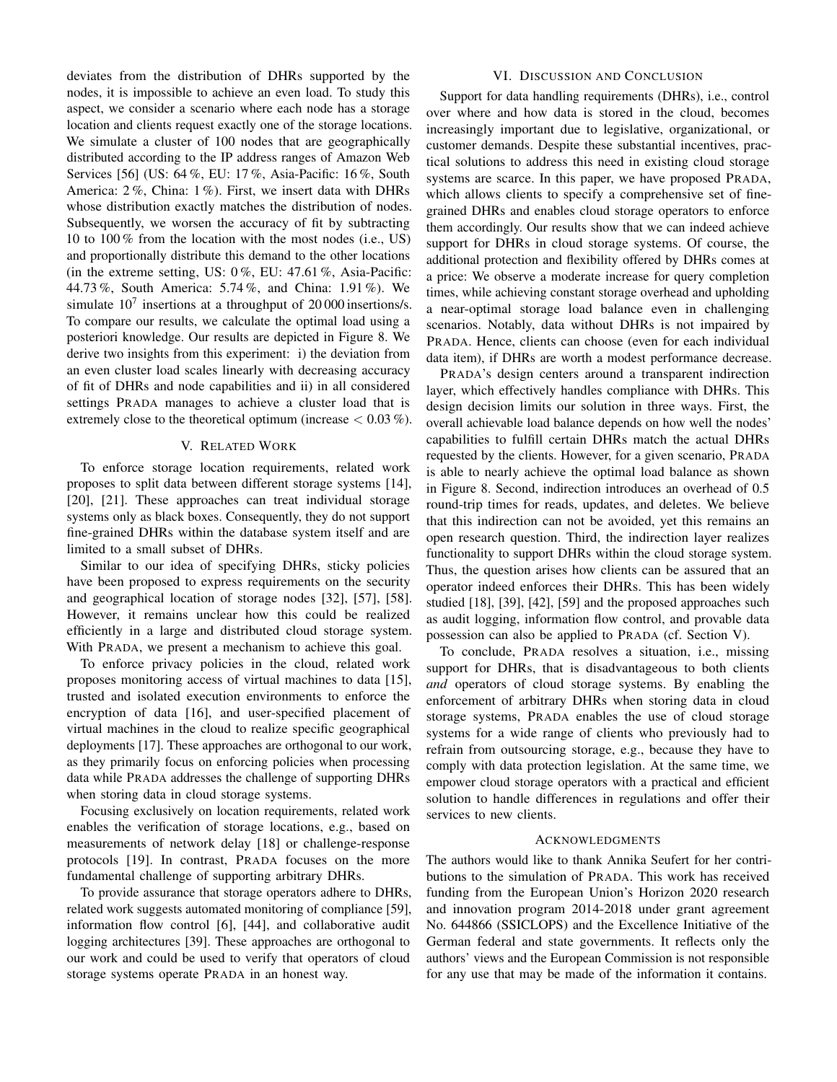deviates from the distribution of DHRs supported by the nodes, it is impossible to achieve an even load. To study this aspect, we consider a scenario where each node has a storage location and clients request exactly one of the storage locations. We simulate a cluster of 100 nodes that are geographically distributed according to the IP address ranges of Amazon Web Services [56] (US: 64 %, EU: 17 %, Asia-Pacific: 16 %, South America: 2 %, China: 1 %). First, we insert data with DHRs whose distribution exactly matches the distribution of nodes. Subsequently, we worsen the accuracy of fit by subtracting 10 to 100 % from the location with the most nodes (i.e., US) and proportionally distribute this demand to the other locations (in the extreme setting, US:  $0\%$ , EU:  $47.61\%$ , Asia-Pacific: 44.73 %, South America: 5.74 %, and China: 1.91 %). We simulate  $10<sup>7</sup>$  insertions at a throughput of 20 000 insertions/s. To compare our results, we calculate the optimal load using a posteriori knowledge. Our results are depicted in Figure 8. We derive two insights from this experiment: i) the deviation from an even cluster load scales linearly with decreasing accuracy of fit of DHRs and node capabilities and ii) in all considered settings PRADA manages to achieve a cluster load that is extremely close to the theoretical optimum (increase  $< 0.03\%$ ).

### V. RELATED WORK

To enforce storage location requirements, related work proposes to split data between different storage systems [14], [20], [21]. These approaches can treat individual storage systems only as black boxes. Consequently, they do not support fine-grained DHRs within the database system itself and are limited to a small subset of DHRs.

Similar to our idea of specifying DHRs, sticky policies have been proposed to express requirements on the security and geographical location of storage nodes [32], [57], [58]. However, it remains unclear how this could be realized efficiently in a large and distributed cloud storage system. With PRADA, we present a mechanism to achieve this goal.

To enforce privacy policies in the cloud, related work proposes monitoring access of virtual machines to data [15], trusted and isolated execution environments to enforce the encryption of data [16], and user-specified placement of virtual machines in the cloud to realize specific geographical deployments [17]. These approaches are orthogonal to our work, as they primarily focus on enforcing policies when processing data while PRADA addresses the challenge of supporting DHRs when storing data in cloud storage systems.

Focusing exclusively on location requirements, related work enables the verification of storage locations, e.g., based on measurements of network delay [18] or challenge-response protocols [19]. In contrast, PRADA focuses on the more fundamental challenge of supporting arbitrary DHRs.

To provide assurance that storage operators adhere to DHRs, related work suggests automated monitoring of compliance [59], information flow control [6], [44], and collaborative audit logging architectures [39]. These approaches are orthogonal to our work and could be used to verify that operators of cloud storage systems operate PRADA in an honest way.

# VI. DISCUSSION AND CONCLUSION

Support for data handling requirements (DHRs), i.e., control over where and how data is stored in the cloud, becomes increasingly important due to legislative, organizational, or customer demands. Despite these substantial incentives, practical solutions to address this need in existing cloud storage systems are scarce. In this paper, we have proposed PRADA, which allows clients to specify a comprehensive set of finegrained DHRs and enables cloud storage operators to enforce them accordingly. Our results show that we can indeed achieve support for DHRs in cloud storage systems. Of course, the additional protection and flexibility offered by DHRs comes at a price: We observe a moderate increase for query completion times, while achieving constant storage overhead and upholding a near-optimal storage load balance even in challenging scenarios. Notably, data without DHRs is not impaired by PRADA. Hence, clients can choose (even for each individual data item), if DHRs are worth a modest performance decrease.

PRADA's design centers around a transparent indirection layer, which effectively handles compliance with DHRs. This design decision limits our solution in three ways. First, the overall achievable load balance depends on how well the nodes' capabilities to fulfill certain DHRs match the actual DHRs requested by the clients. However, for a given scenario, PRADA is able to nearly achieve the optimal load balance as shown in Figure 8. Second, indirection introduces an overhead of 0.5 round-trip times for reads, updates, and deletes. We believe that this indirection can not be avoided, yet this remains an open research question. Third, the indirection layer realizes functionality to support DHRs within the cloud storage system. Thus, the question arises how clients can be assured that an operator indeed enforces their DHRs. This has been widely studied [18], [39], [42], [59] and the proposed approaches such as audit logging, information flow control, and provable data possession can also be applied to PRADA (cf. Section V).

To conclude, PRADA resolves a situation, i.e., missing support for DHRs, that is disadvantageous to both clients *and* operators of cloud storage systems. By enabling the enforcement of arbitrary DHRs when storing data in cloud storage systems, PRADA enables the use of cloud storage systems for a wide range of clients who previously had to refrain from outsourcing storage, e.g., because they have to comply with data protection legislation. At the same time, we empower cloud storage operators with a practical and efficient solution to handle differences in regulations and offer their services to new clients.

#### ACKNOWLEDGMENTS

The authors would like to thank Annika Seufert for her contributions to the simulation of PRADA. This work has received funding from the European Union's Horizon 2020 research and innovation program 2014-2018 under grant agreement No. 644866 (SSICLOPS) and the Excellence Initiative of the German federal and state governments. It reflects only the authors' views and the European Commission is not responsible for any use that may be made of the information it contains.